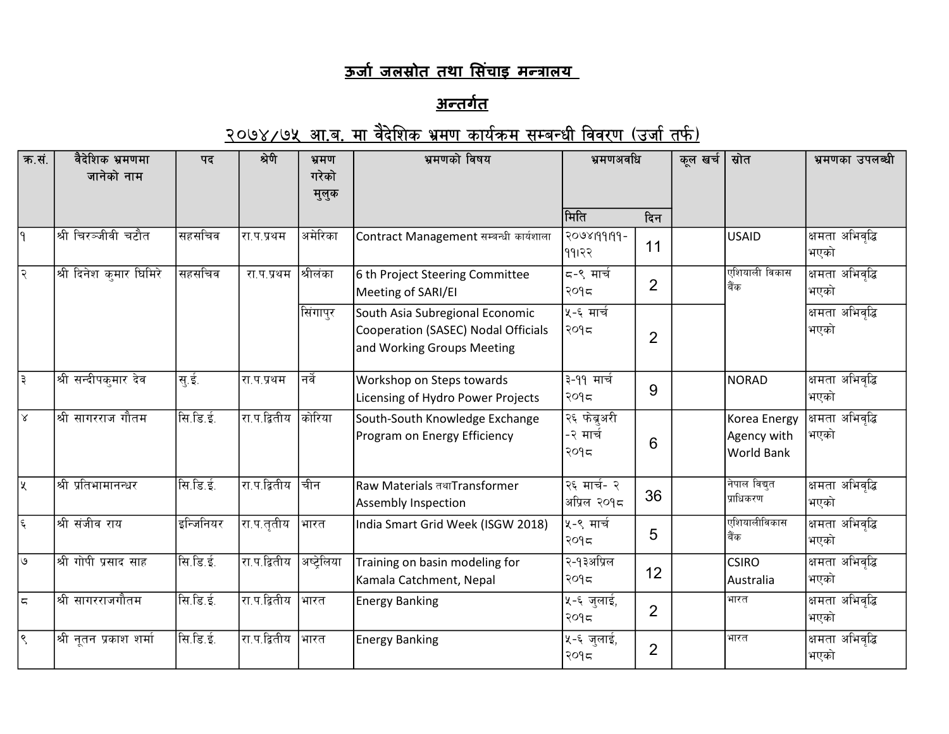## <u>ऊर्जा जलस्रोत तथा सिंचाइ मन्त्रालय</u>

## <u>अन्तर्गत</u>

## <u>२०७४/७५ आ.ब. मा वैदेशिक भ्रमण कार्यक्रम सम्बन्धी विवरण (उर्जा तर्फ)</u>

| क.सं.                   | वैदेशिक भ्रमणमा<br>जानेको नाम | पद        | श्रेणी       | भ्रमण<br>गरेको<br>मुलुक | भ्रमणको विषय                                                                                         | भ्रमणअवधि                        |                | कूल खर्च | स्रोत                                            | भ्रमणका उपलब्धी          |
|-------------------------|-------------------------------|-----------|--------------|-------------------------|------------------------------------------------------------------------------------------------------|----------------------------------|----------------|----------|--------------------------------------------------|--------------------------|
|                         |                               |           |              |                         |                                                                                                      | मिति                             | दिन            |          |                                                  |                          |
| $\mathsf{P}$            | श्री चिरञ्जीवी चटौत           | सहसचिव    | रा.प.प्रथम   | अमेरिका                 | Contract Management सम्बन्धी कार्यशाला                                                               | -PPIPPIYOOF<br> ૧૧ારર            | 11             |          | USAID                                            | क्षमता अभिवृद्धि<br>भएको |
| $\alpha$                | श्री दिनेश कुमार घिमिरे       | सहसचिव    | रा.प.प्रथम   | श्रीलंका                | 6 th Project Steering Committee<br>Meeting of SARI/EI                                                | द-९ मार्च<br>२०१८                | $\overline{2}$ |          | एशियाली विकास<br>बैंक                            | क्षमता अभिवद्धि<br>भएको  |
|                         |                               |           |              | सिंगापुर                | South Asia Subregional Economic<br>Cooperation (SASEC) Nodal Officials<br>and Working Groups Meeting | ∣५-६ मार्च<br>२०१८               | $\overline{2}$ |          |                                                  | क्षमता अभिवृद्धि<br>भएको |
| $\mu$                   | श्री सन्दीपक् <b>मार देव</b>  | सु.ई.     | रा.प.प्रथम   | नर्वे                   | Workshop on Steps towards<br>Licensing of Hydro Power Projects                                       | ३-११ मार्च<br>२०१८               | 9              |          | NORAD                                            | क्षमता अभिवृद्धि<br>भएको |
| $\frac{1}{2}$           | श्री सागरराज गौतम             | सि.डि.ई.  | रा.प.द्वितीय | कोरिया                  | South-South Knowledge Exchange<br>Program on Energy Efficiency                                       | २६ फेब्रुअरी<br>-२ मार्च<br>२०१८ | 6              |          | Korea Energy<br>Agency with<br><b>World Bank</b> | क्षमता अभिवद्धि<br>भएको  |
| $\overline{\mathbf{y}}$ | श्री प्रतिभामानन्धर           | सि.डि.ई.  | रा.प.द्वितीय | चीन                     | Raw Materials तथाTransformer<br><b>Assembly Inspection</b>                                           | २६ मार्च- २<br>अप्रिल २०१८       | 36             |          | नेपाल विद्युत<br>प्राधिकरण                       | क्षमता अभिवृद्धि<br>भएको |
| $\epsilon$              | श्री संजीव राय                | इन्जिनियर | रा.प.तृतीय   | भारत                    | India Smart Grid Week (ISGW 2018)                                                                    | ५-९ मार्च<br>२०१८                | 5              |          | एशियालीविकास<br>बिँक                             | क्षमता अभिवृद्धि<br>भएको |
| ق                       | श्री गोपी प्रसाद साह          | सि.डि.ई.  | रा.प.द्वितीय | अष्ट्रेलिया             | Training on basin modeling for<br>Kamala Catchment, Nepal                                            | २-१३अप्रिल<br>२०१८               | 12             |          | <b>CSIRO</b><br>Australia                        | क्षमता अभिवृद्धि<br>भएको |
| $\overline{\sigma}$     | श्री सागरराजगौतम              | सि.डि.ई.  | रा.प.द्वितीय | भारत                    | <b>Energy Banking</b>                                                                                | ∣५-६ जुलाई,<br>२०१८              | $\overline{2}$ |          | भारत                                             | क्षमता अभिवृद्धि<br>भएको |
| $\infty$                | श्री नूतन प्रकाश शर्मा        | सि.डि.ई.  | रा.प.द्वितीय | भारत                    | <b>Energy Banking</b>                                                                                | ∣५-६ जुलाई,<br>२०१८              | $\overline{2}$ |          | भारत                                             | क्षमता अभिवृद्धि<br>भएको |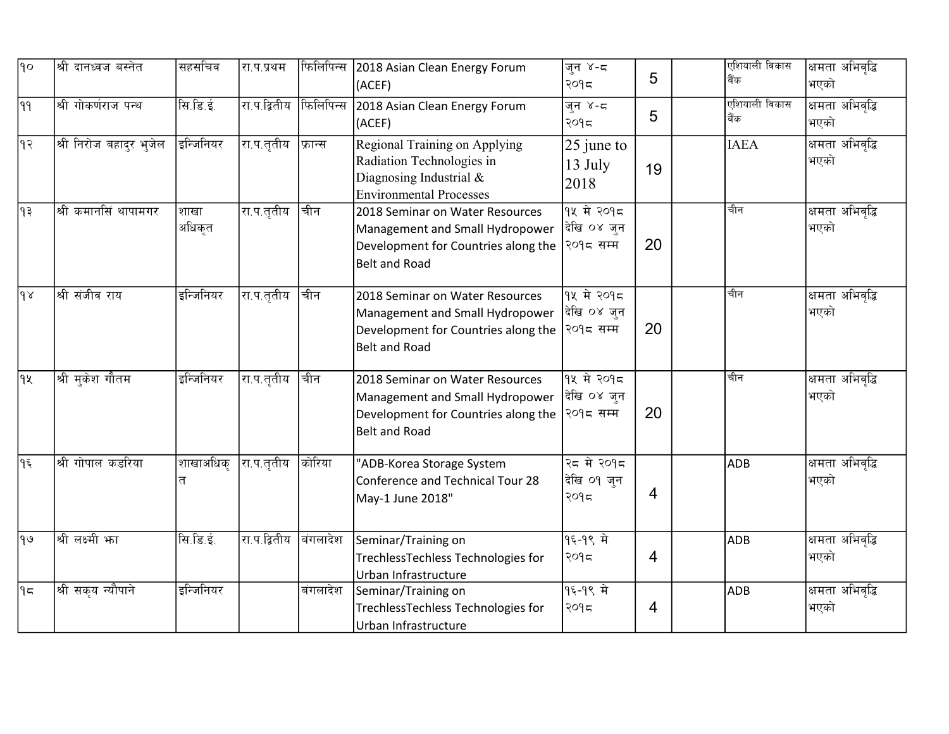| $\overline{\rho}$ | श्री दानध्वज बस्नेत     | सहसचिव         | रा.प.प्रथम   | फिलिपिन्स | 2018 Asian Clean Energy Forum<br>(ACEF)                                                                                           | ज् <b>न</b> ४-८<br>२०१८                       | 5              | एशियाली विकास<br>बैंक | क्षमता अभिवृद्धि<br>भएको |
|-------------------|-------------------------|----------------|--------------|-----------|-----------------------------------------------------------------------------------------------------------------------------------|-----------------------------------------------|----------------|-----------------------|--------------------------|
| 99                | श्री गोकर्णराज पन्थ     | सि.डि.ई.       | रा.प.द्वितीय | फिलिपिन्स | 2018 Asian Clean Energy Forum<br>(ACEF)                                                                                           | ज् <b>न</b> ४-८<br>२०१८                       | 5              | एशियाली विकास<br>बैंक | क्षमता अभिवृद्धि<br>भएको |
| 9                 | श्री निरोज बहाद्र भ्जेल | इन्जिनियर      | रा.प.तृतीय   | फ्रान्स   | Regional Training on Applying<br>Radiation Technologies in<br>Diagnosing Industrial &<br><b>Environmental Processes</b>           | 25 june to<br>13 July<br>2018                 | 19             | <b>IAEA</b>           | क्षमता अभिवृद्धि<br>भएको |
| 93                | श्री कमानसिं थापामगर    | शाखा<br>अधिकृत | रा.प.तृतीय   | चीिन      | 2018 Seminar on Water Resources<br>Management and Small Hydropower<br>Development for Countries along the<br><b>Belt and Road</b> | 9४ मे २०१८<br>देखि ०४ जन<br>२०१८ सम्म         | 20             | चीन                   | क्षमता अभिवृद्धि<br>भएको |
| $ 9 \times$       | श्री संजीव राय          | इन्जिनियर      | रा.प.तृतीय   | चीन       | 2018 Seminar on Water Resources<br>Management and Small Hydropower<br>Development for Countries along the<br><b>Belt and Road</b> | <u>प</u> र मे २०१८<br>देखि ०४ जन<br>२०१८ सम्म | 20             | चीन                   | क्षमता अभिवृद्धि<br>भएको |
| १X                | श्री मुकेश गौतम         | इन्जिनियर      | रा.प.तृतीय   | ∣चीन      | 2018 Seminar on Water Resources<br>Management and Small Hydropower<br>Development for Countries along the<br><b>Belt and Road</b> | १५ मे २०१८<br>देखि ०४ जन<br>२०१८ सम्म         | 20             | चीन                   | क्षमता अभिवृद्धि<br>भएको |
| १६                | श्री गोपाल कडरिया       | शाखाअधिक<br>त  | रा.प.तृतीय   | कोरिया    | "ADB-Korea Storage System<br>Conference and Technical Tour 28<br>May-1 June 2018"                                                 | २८ मे २०१८<br>देखि ०१ जुन<br>२०१८             | 4              | <b>ADB</b>            | क्षमता अभिवृद्धि<br>भएको |
| 99                | श्री लक्ष्मी भा         | सि.डि.ई.       | रा.प.द्वितीय | बंगलादेश  | Seminar/Training on<br>TrechlessTechless Technologies for<br>Urban Infrastructure                                                 | १६-१९ मे<br>२०१८                              | $\overline{4}$ | <b>ADB</b>            | क्षमता अभिवृद्धि<br>भएको |
| 95                | श्री सकृय न्यौपाने      | इन्जिनियर      |              | बंगलादेश  | Seminar/Training on<br>TrechlessTechless Technologies for<br>Urban Infrastructure                                                 | १६-१९ मे<br>२०१८                              | 4              | <b>ADB</b>            | क्षमता अभिवृद्धि<br>भएको |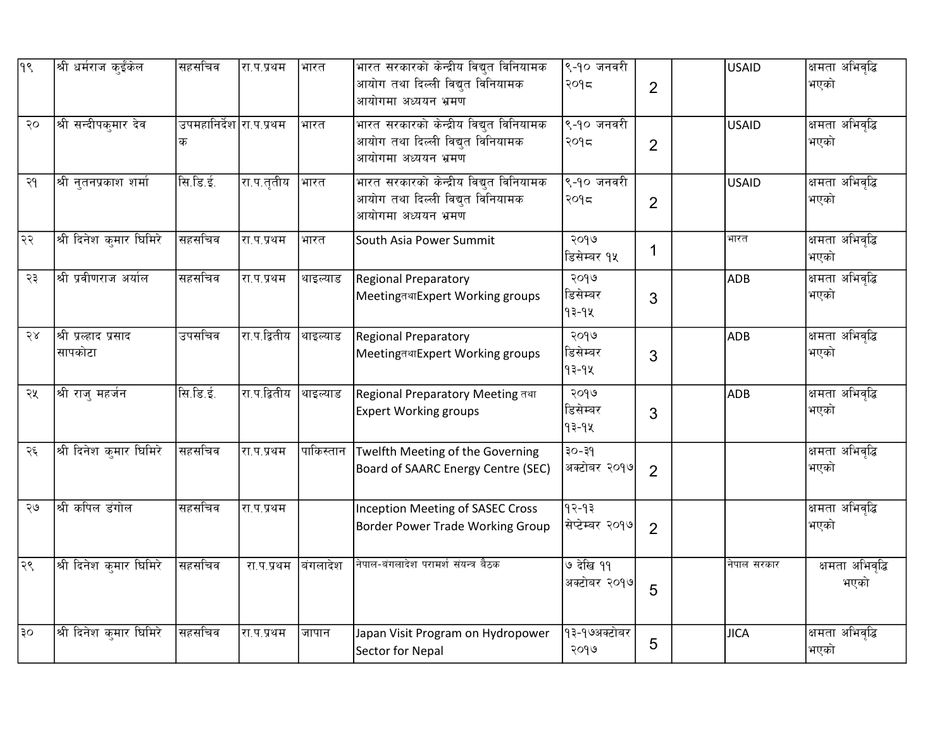| <u> १९</u> | श्री धर्मराज कईकेल              | सहसचिव                       | रा.प.प्रथम   | भारत      | भारत सरकारको केन्द्रीय विद्युत विनियामक<br>आयोग तथा दिल्ली विद्युत विनियामक<br>आयोगमा अध्ययन भ्रमण | ९-१० जनवरी<br>२०१८         | $\overline{2}$ | <b>USAID</b> | क्षमता अभिवृद्धि<br>भएको |
|------------|---------------------------------|------------------------------|--------------|-----------|----------------------------------------------------------------------------------------------------|----------------------------|----------------|--------------|--------------------------|
| २०         | श्री सन्दीपकमार देव             | उपमहानिर्देश रा.प.प्रथम<br>क |              | भारत      | भारत सरकारको केन्द्रीय विद्युत विनियामक<br>आयोग तथा दिल्ली विद्युत विनियामक<br>आयोगमा अध्ययन भ्रमण | ९-१० जनवरी<br>२०१८         | $\overline{2}$ | <b>USAID</b> | क्षमता अभिवृद्धि<br>भएको |
| 56         | श्री नुतनप्रकाश शर्मा           | सि.डि.ई.                     | रा.प.तृतीय   | भारत      | भारत सरकारको केन्द्रीय विद्युत विनियामक<br>आयोग तथा दिल्ली विद्युत विनियामक<br>आयोगमा अध्ययन भ्रमण | ९-१० जनवरी<br>२०१८         | $\overline{2}$ | <b>USAID</b> | क्षमता अभिवृद्धि<br>भएको |
| २२         | श्री दिनेश कुमार धिमिरे         | सहसचिव                       | रा.प.प्रथम   | भारत      | South Asia Power Summit                                                                            | २०१७<br>डिसेम्बर १५        | 1              | भारत         | क्षमता अभिवृद्धि<br>भएको |
| २३         | श्री प्रवीणराज अर्याल           | सहसचिव                       | रा.प.प्रथम   | थाइल्याड  | <b>Regional Preparatory</b><br>MeetingतथाExpert Working groups                                     | २०१७<br>डिसेम्बर<br> १३-१५ | 3              | ADB          | क्षमता अभिवृद्धि<br>भएको |
| 58         | श्री प्रल्हाद प्रसाद<br>सापकोटा | उपसचिव                       | रा.प.द्वितीय | थाइल्याड  | <b>Regional Preparatory</b><br>MeetingतथाExpert Working groups                                     | २०१७<br>डिसेम्बर<br> १३-१५ | 3              | ADB          | क्षमता अभिवृद्धि<br>भएको |
| २५         | श्री राज् महर्जन                | सि.डि.ई.                     | रा.प.द्वितीय | थाइल्याड  | Regional Preparatory Meeting तथा<br><b>Expert Working groups</b>                                   | २०१७<br>डिसेम्बर<br> १३-१५ | 3              | ADB          | क्षमता अभिवृद्धि<br>भएको |
| २६         | श्री दिनेश क्मार धिमिरे         | सहसचिव                       | रा.प.प्रथम   | पाकिस्तान | Twelfth Meeting of the Governing<br>Board of SAARC Energy Centre (SEC)                             | ३०-३१<br>अक्टोबर २०१७      | $\overline{2}$ |              | क्षमता अभिवृद्धि<br>भएको |
| ২७         | श्री कपिल डंगोल                 | सहसचिव                       | रा.प.प्रथम   |           | <b>Inception Meeting of SASEC Cross</b><br>Border Power Trade Working Group                        | १२-१३<br> सेप्टेम्बर २०१७  | $\overline{2}$ |              | क्षमता अभिवृद्धि<br>भएको |
| २९         | श्री दिनेश कुमार धिमिरे         | सहसचिव                       | रा.प.प्रथम   | बंगलादेश  | नेपाल-बंगलादेश परामर्श संयन्त्र बैठक                                                               | ७ देखि ११<br>अक्टोबर २०१७  | 5              | नेपाल सरकार  | क्षमता अभिवृद्धि<br>भएको |
| ३०         | श्री दिनेश कुमार धिमिरे         | सहसचिव                       | रा.प.प्रथम   | जापान     | Japan Visit Program on Hydropower<br>Sector for Nepal                                              | १३-१७अक्टोबर<br>२०१७       | 5              | <b>JICA</b>  | क्षमता अभिवृद्धि<br>भएको |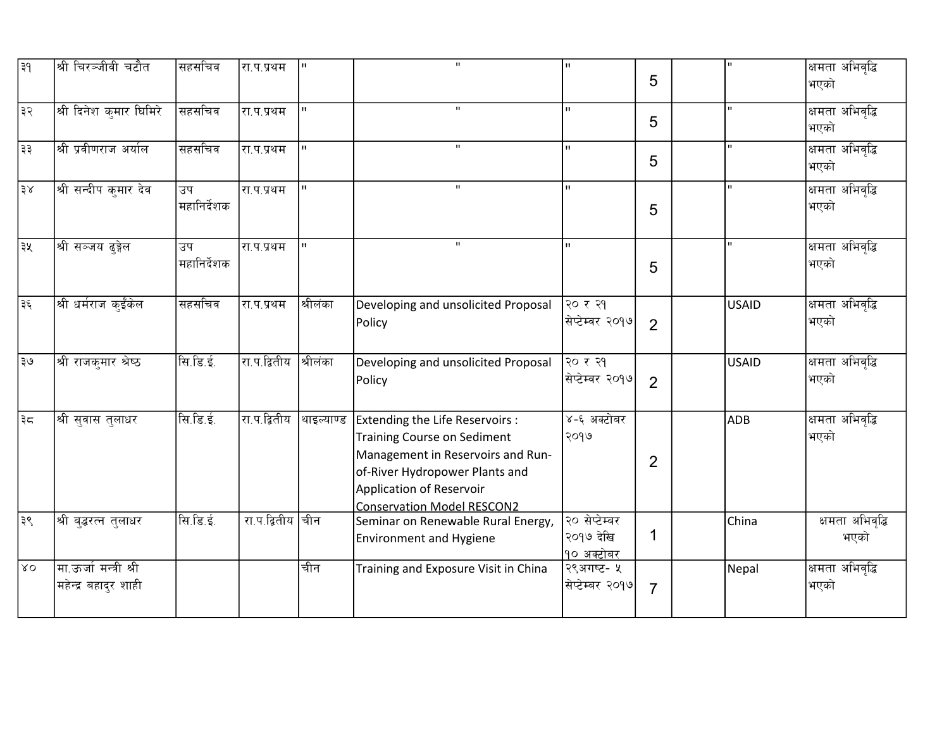| ३१                         | श्री चिरञ्जीवी चटौत                            | सहसचिव            | रा.प.प्रथम        | $\mathbf{H}$   | $\mathbf{H}$                                                                                                                                                                                                  | lπ                                        | 5              | lu.            | क्षमता अभिवृद्धि<br>भएको |
|----------------------------|------------------------------------------------|-------------------|-------------------|----------------|---------------------------------------------------------------------------------------------------------------------------------------------------------------------------------------------------------------|-------------------------------------------|----------------|----------------|--------------------------|
| ३२                         | श्री दिनेश कुमार घिमिरे                        | सहसचिव            | रा.प.प्रथम        | $\mathbf{H}$   | $\mathbf H$                                                                                                                                                                                                   | l u l                                     | 5              | $\mathbf{H}$ . | क्षमता अभिवृद्धि<br>भएको |
| ३३ $\overline{\mathbf{r}}$ | श्री प्रवीणराज अर्याल                          | सहसचिव            | रा.प.प्रथम        | $\mathbf{H}$ . | $\mathbf H$                                                                                                                                                                                                   | l ul                                      | 5              | $\mathbf{H}$ . | क्षमता अभिवृद्धि<br>भएको |
| ३४                         | श्री सन्दीप कुमार देव                          | उप<br>महानिर्देशक | रा.प.प्रथम        | $\mathbf{H}$   | $\mathbf H$                                                                                                                                                                                                   | lπ                                        | 5              | $\mathbf{H}$ . | क्षमता अभिवृद्धि<br>भएको |
| ३५                         | श्री सञ्जय ढुङ्गेल                             | उप<br>महानिर्देशक | रा.प.प्रथम        | $\mathbf{H}$   | $\mathbf H$                                                                                                                                                                                                   | l u l                                     | 5              | $\mathbf{H}$   | क्षमता अभिवृद्धि<br>भएको |
| रू $\overline{\mathbf{F}}$ | श्री धर्मराज कईकेल                             | सहसचिव            | रा.प.प्रथम        | श्रीलंका       | Developing and unsolicited Proposal<br>Policy                                                                                                                                                                 | २० र २१<br> सेप्टेम्वर २०१७               | $\overline{2}$ | USAID          | क्षमता अभिवृद्धि<br>भएको |
| ঃ৩                         | श्री राजकुमार श्रेष्ठ                          | सि.डि.ई.          | रा.प.द्वितीय      | श्रीलंका       | Developing and unsolicited Proposal<br>Policy                                                                                                                                                                 | २० र २१<br> सेप्टेम्वर २०१७               | $\overline{2}$ | USAID          | क्षमता अभिवृद्धि<br>भएको |
| ∣३८                        | श्री सुवास तुलाधर                              | सि.डि.ई.          | रा.प.द्वितीय      | थाइल्याण्ड     | Extending the Life Reservoirs :<br><b>Training Course on Sediment</b><br>Management in Reservoirs and Run-<br>of-River Hydropower Plants and<br>Application of Reservoir<br><b>Conservation Model RESCON2</b> | ४-६ अक्टोबर<br>२०१७                       | $\overline{2}$ | ADB            | क्षमता अभिवृद्धि<br>भएको |
| ३९                         | श्री ब्द्धरत्न त्लाधर                          | सि.डि.ई.          | रा.प.द्वितीय  चीन |                | Seminar on Renewable Rural Energy,<br><b>Environment and Hygiene</b>                                                                                                                                          | २० सेप्टेम्बर<br>२०१७ देखि<br> १० अक्टोबर | 1              | China          | क्षमता अभिवृद्धि<br>भएको |
| 80                         | मा.ऊर्जा मन्त्री श्री<br> महेन्द्र बहादुर शाही |                   |                   | चीन            | Training and Exposure Visit in China                                                                                                                                                                          | २९अगष्ट- ५<br> सेप्टेम्बर २०१७            | $\overline{7}$ | Nepal          | क्षमता अभिवृद्धि<br>भएको |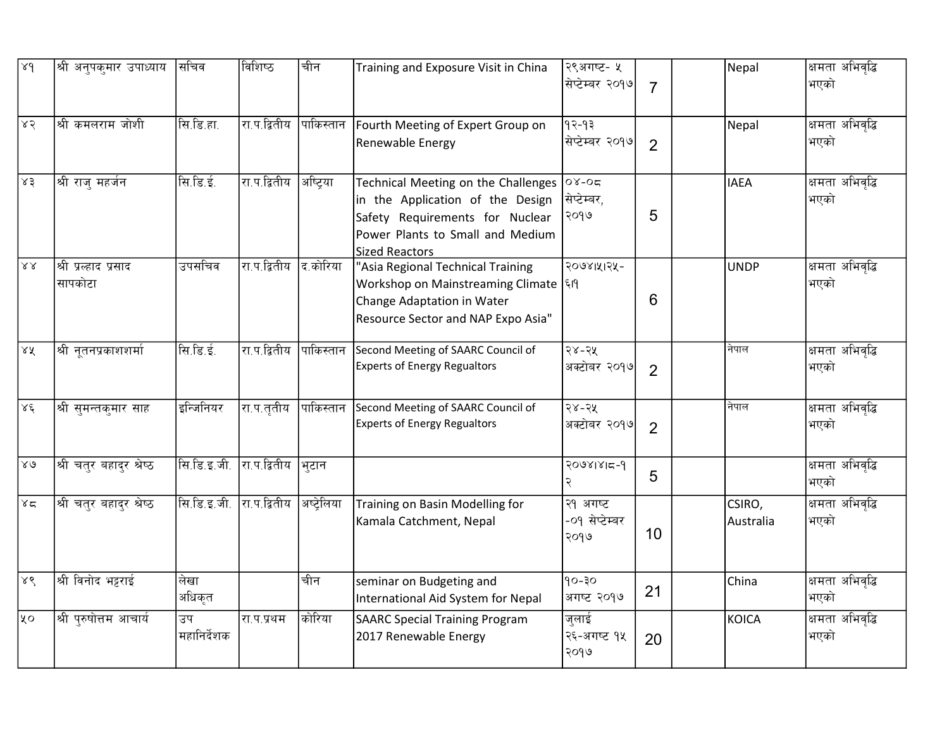| $x_{d}$          | श्री अनुपकुमार उपाध्याय         | <b> सचिव</b>      | विशिष्ठ       | चीन       | Training and Exposure Visit in China                                                                                                                                    | २९अगष्ट- ५<br>सेप्टेम्बर २०१७      | $\overline{7}$ | Nepal               | क्षमता अभिवृद्धि<br>भएको |
|------------------|---------------------------------|-------------------|---------------|-----------|-------------------------------------------------------------------------------------------------------------------------------------------------------------------------|------------------------------------|----------------|---------------------|--------------------------|
| 85               | श्री कमलराम जोशी                | सि.डि.हा.         | रा.प.द्वितीय  | पाकिस्तान | Fourth Meeting of Expert Group on<br>Renewable Energy                                                                                                                   | १२-१३<br> सेप्टेम्बर २०१७          | $\overline{2}$ | Nepal               | क्षमता अभिवृद्धि<br>भएको |
| 83               | श्री राज् महर्जन                | सि.डि.ई.          | रा.प.द्वितीय  | अष्टिया   | Technical Meeting on the Challenges<br>in the Application of the Design<br>Safety Requirements for Nuclear<br>Power Plants to Small and Medium<br><b>Sized Reactors</b> | $\log 20$<br> सेप्टेम्बर,<br>२०१७  | 5              | <b>IAEA</b>         | क्षमता अभिवृद्धि<br>भएको |
| $\lambda\lambda$ | श्री प्रल्हाद प्रसाद<br>सापकोटा | उपसचिव            | रा.प.द्वितीय  | दि.कोरिया | "Asia Regional Technical Training<br>Workshop on Mainstreaming Climate  ६११<br>Change Adaptation in Water<br>Resource Sector and NAP Expo Asia"                         | -29812124                          | 6              | <b>UNDP</b>         | क्षमता अभिवृद्धि<br>भएको |
| ΧX               | श्री नूतनप्रकाशशर्मा            | सि.डि.ई.          | रा.प.द्वितीय  | पाकिस्तान | Second Meeting of SAARC Council of<br><b>Experts of Energy Regualtors</b>                                                                                               | २४-२५<br>अक्टोबर २०१७              | $\overline{2}$ | नेपाल               | क्षमता अभिवद्धि<br>भएको  |
| $\lambda \xi$    | श्री सुमन्तक्मार साह            | इन्जिनियर         | रा.प.तृतीय    | पाकिस्तान | Second Meeting of SAARC Council of<br><b>Experts of Energy Regualtors</b>                                                                                               | २४-२५<br>अक्टोबर २०१७              | $\overline{2}$ | नेपाल               | क्षमता अभिवृद्धि<br>भएको |
| $80^{\circ}$     | <u>श्री</u> चतुर बहादुर श्रेष्ठ | सि.डि.इ.जी.       | रा.प.द्वितीय  | भिटान     |                                                                                                                                                                         | $9 - 71818009$<br>२                | 5              |                     | क्षमता अभिवृद्धि<br>भएको |
| 85               | श्री चतुर बहादुर श्रेष्ठ        | सि.डि.इ.जी.       | ∣रा.प.द्वितीय | अष्टेलिया | Training on Basin Modelling for<br>Kamala Catchment, Nepal                                                                                                              | २१ अगष्ट<br>-०१ सेप्टेम्बर<br>२०१७ | 10             | CSIRO,<br>Australia | क्षमता अभिवृद्धि<br>भएको |
| ४९               | श्री विनोद भट्टराई              | लेखा<br>अधिकृत    |               | चीन       | seminar on Budgeting and<br>International Aid System for Nepal                                                                                                          | १०-३०<br>अगष्ट २०१७                | 21             | China               | क्षमता अभिवृद्धि<br>भएको |
| ųο               | श्री पुरुषोत्तम आचार्य          | उप<br>महानिर्देशक | रा.प.प्रथम    | कोरिया    | <b>SAARC Special Training Program</b><br>2017 Renewable Energy                                                                                                          | ज्लाई<br>२६-अगष्ट १५<br>२०१७       | 20             | <b>KOICA</b>        | क्षमता अभिवृद्धि<br>भएको |